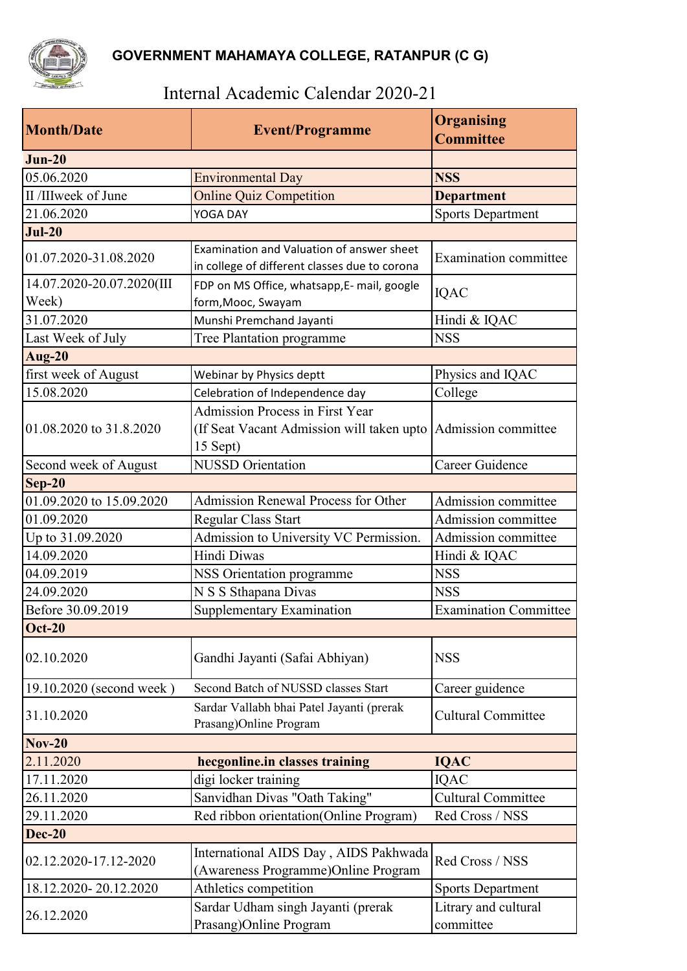

## Internal Academic Calendar 2020-21

| <b>Month/Date</b>                  | <b>Event/Programme</b>                                                                     | <b>Organising</b><br><b>Committee</b> |
|------------------------------------|--------------------------------------------------------------------------------------------|---------------------------------------|
| $Jun-20$                           |                                                                                            |                                       |
| 05.06.2020                         | <b>Environmental Day</b>                                                                   | <b>NSS</b>                            |
| II /IIIweek of June                | <b>Online Quiz Competition</b>                                                             | <b>Department</b>                     |
| 21.06.2020                         | YOGA DAY                                                                                   | <b>Sports Department</b>              |
| $Jul-20$                           |                                                                                            |                                       |
| 01.07.2020-31.08.2020              | Examination and Valuation of answer sheet<br>in college of different classes due to corona | Examination committee                 |
| 14.07.2020-20.07.2020(III<br>Week) | FDP on MS Office, whatsapp,E- mail, google<br>form, Mooc, Swayam                           | <b>IQAC</b>                           |
| 31.07.2020                         | Munshi Premchand Jayanti                                                                   | Hindi & IQAC                          |
| Last Week of July                  | Tree Plantation programme                                                                  | <b>NSS</b>                            |
| <b>Aug-20</b>                      |                                                                                            |                                       |
| first week of August               | Webinar by Physics deptt                                                                   | Physics and IQAC                      |
| 15.08.2020                         | Celebration of Independence day                                                            | College                               |
|                                    | <b>Admission Process in First Year</b>                                                     |                                       |
| 01.08.2020 to 31.8.2020            | (If Seat Vacant Admission will taken upto<br>15 Sept)                                      | Admission committee                   |
| Second week of August              | <b>NUSSD</b> Orientation                                                                   | Career Guidence                       |
| $Sep-20$                           |                                                                                            |                                       |
| 01.09.2020 to 15.09.2020           | Admission Renewal Process for Other                                                        | Admission committee                   |
| 01.09.2020                         | Regular Class Start                                                                        | Admission committee                   |
| Up to 31.09.2020                   | Admission to University VC Permission.                                                     | Admission committee                   |
| 14.09.2020                         | Hindi Diwas                                                                                | Hindi & IQAC                          |
| 04.09.2019                         | <b>NSS Orientation programme</b>                                                           | <b>NSS</b>                            |
| 24.09.2020                         | N S S Sthapana Divas                                                                       | <b>NSS</b>                            |
| Before 30.09.2019                  | Supplementary Examination                                                                  | <b>Examination Committee</b>          |
| <b>Oct-20</b>                      |                                                                                            |                                       |
| 02.10.2020                         | Gandhi Jayanti (Safai Abhiyan)                                                             | <b>NSS</b>                            |
| 19.10.2020 (second week)           | Second Batch of NUSSD classes Start                                                        | Career guidence                       |
| 31.10.2020                         | Sardar Vallabh bhai Patel Jayanti (prerak<br>Prasang)Online Program                        | <b>Cultural Committee</b>             |
| <b>Nov-20</b>                      |                                                                                            |                                       |
| 2.11.2020                          | hecgonline.in classes training                                                             | <b>IQAC</b>                           |
| 17.11.2020                         | digi locker training                                                                       | <b>IQAC</b>                           |
| 26.11.2020                         | Sanvidhan Divas "Oath Taking"                                                              | <b>Cultural Committee</b>             |
| 29.11.2020                         | Red ribbon orientation(Online Program)                                                     | Red Cross / NSS                       |
| <b>Dec-20</b>                      |                                                                                            |                                       |
| 02.12.2020-17.12-2020              | International AIDS Day, AIDS Pakhwada<br>(Awareness Programme)Online Program               | Red Cross / NSS                       |
| 18.12.2020-20.12.2020              | Athletics competition                                                                      | <b>Sports Department</b>              |
| 26.12.2020                         | Sardar Udham singh Jayanti (prerak<br>Prasang)Online Program                               | Litrary and cultural<br>committee     |